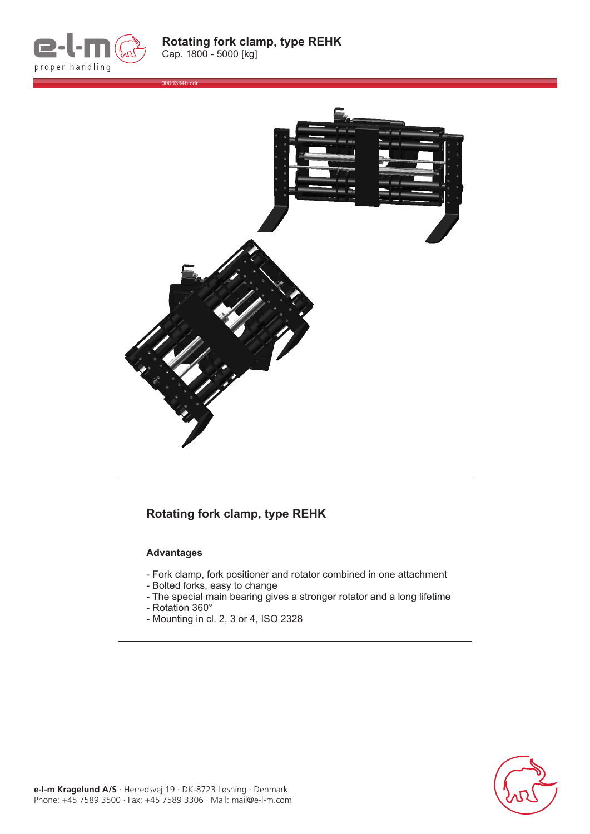



## **Rotating fork clamp, type REHK**

## **Advantages**

- Fork clamp, fork positioner and rotator combined in one attachment
- Bolted forks, easy to change
- The special main bearing gives a stronger rotator and a long lifetime
- Rotation 360 °
- Mounting in cl. 2, 3 or 4, ISO 2328